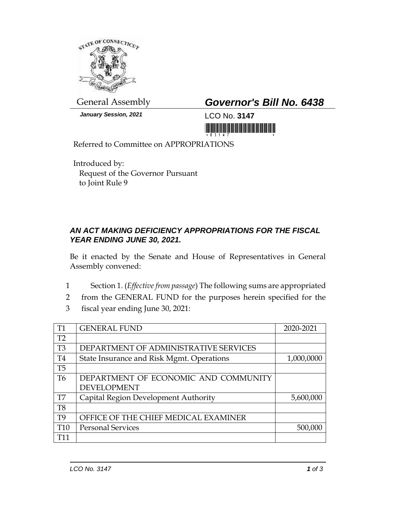

*January Session, 2021* LCO No. **3147**

General Assembly *Governor's Bill No. 6438*

<u>ni koʻzibili ili ilman olara mashlari</u>

Referred to Committee on APPROPRIATIONS

Introduced by: Request of the Governor Pursuant to Joint Rule 9

## *AN ACT MAKING DEFICIENCY APPROPRIATIONS FOR THE FISCAL YEAR ENDING JUNE 30, 2021.*

Be it enacted by the Senate and House of Representatives in General Assembly convened:

- 1 Section 1. (*Effective from passage*) The following sums are appropriated
- 2 from the GENERAL FUND for the purposes herein specified for the
- 3 fiscal year ending June 30, 2021:

| <b>T1</b>       | <b>GENERAL FUND</b>                       | 2020-2021  |
|-----------------|-------------------------------------------|------------|
| T <sub>2</sub>  |                                           |            |
| T <sub>3</sub>  | DEPARTMENT OF ADMINISTRATIVE SERVICES     |            |
| <b>T4</b>       | State Insurance and Risk Mgmt. Operations | 1,000,0000 |
| T <sub>5</sub>  |                                           |            |
| T <sub>6</sub>  | DEPARTMENT OF ECONOMIC AND COMMUNITY      |            |
|                 | <b>DEVELOPMENT</b>                        |            |
| T7              | Capital Region Development Authority      | 5,600,000  |
| T <sub>8</sub>  |                                           |            |
| T <sub>9</sub>  | OFFICE OF THE CHIEF MEDICAL EXAMINER      |            |
| T <sub>10</sub> | <b>Personal Services</b>                  | 500,000    |
| T11             |                                           |            |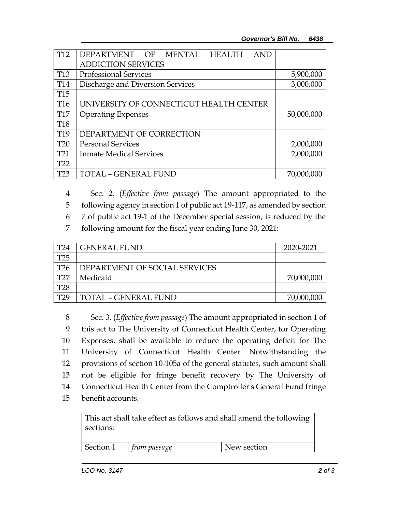| T <sub>12</sub> | DEPARTMENT OF MENTAL HEALTH<br><b>AND</b> |            |
|-----------------|-------------------------------------------|------------|
|                 | <b>ADDICTION SERVICES</b>                 |            |
| T <sub>13</sub> | <b>Professional Services</b>              | 5,900,000  |
| T <sub>14</sub> | Discharge and Diversion Services          | 3,000,000  |
| T <sub>15</sub> |                                           |            |
| T <sub>16</sub> | UNIVERSITY OF CONNECTICUT HEALTH CENTER   |            |
| T <sub>17</sub> | <b>Operating Expenses</b>                 | 50,000,000 |
| <b>T18</b>      |                                           |            |
| T <sub>19</sub> | DEPARTMENT OF CORRECTION                  |            |
| <b>T20</b>      | <b>Personal Services</b>                  | 2,000,000  |
| T <sub>21</sub> | <b>Inmate Medical Services</b>            | 2,000,000  |
| T <sub>22</sub> |                                           |            |
| T23             | <b>TOTAL - GENERAL FUND</b>               | 70,000,000 |

4 Sec. 2. (*Effective from passage*) The amount appropriated to the

5 following agency in section 1 of public act 19-117, as amended by section

6 7 of public act 19-1 of the December special session, is reduced by the

7 following amount for the fiscal year ending June 30, 2021:

| T24             | <b>GENERAL FUND</b>           | 2020-2021  |
|-----------------|-------------------------------|------------|
| T25             |                               |            |
| T26             | DEPARTMENT OF SOCIAL SERVICES |            |
| T27             | Medicaid                      | 70,000,000 |
| T28             |                               |            |
| T <sub>29</sub> | <b>TOTAL - GENERAL FUND</b>   | 70,000,000 |

 Sec. 3. (*Effective from passage*) The amount appropriated in section 1 of this act to The University of Connecticut Health Center, for Operating Expenses, shall be available to reduce the operating deficit for The University of Connecticut Health Center. Notwithstanding the provisions of section 10-105a of the general statutes, such amount shall not be eligible for fringe benefit recovery by The University of Connecticut Health Center from the Comptroller's General Fund fringe benefit accounts.

This act shall take effect as follows and shall amend the following sections:

| Section 1 | <i>from passage</i> | New section |
|-----------|---------------------|-------------|
|           |                     |             |